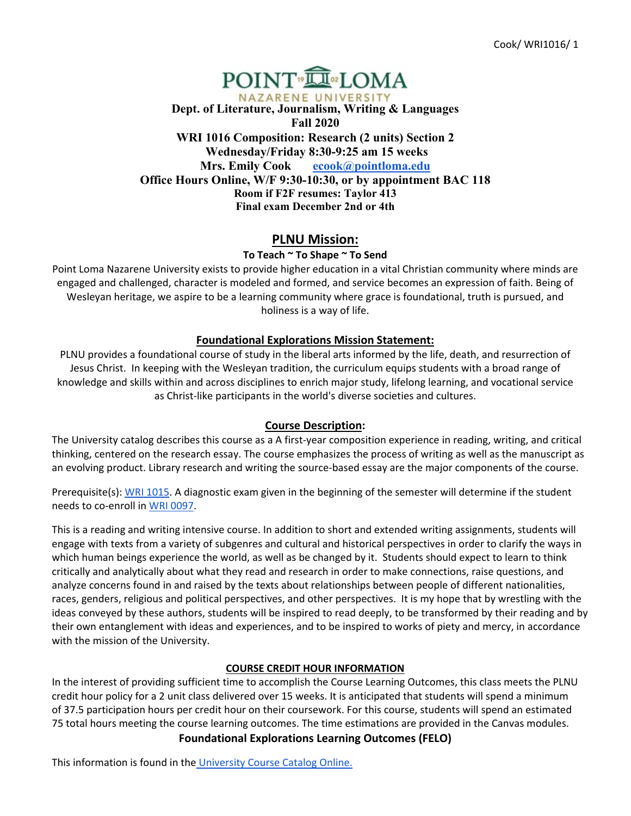# POINT<sup>®</sup>I\_OMA NAZARENE UNIVERSITY **Dept. of Literature, Journalism, Writing & Languages Fall 2020 WRI 1016 Composition: Research (2 units) Section 2 Wednesday/Friday 8:30-9:25 am 15 weeks Mrs. Emily Cook [ecook@pointloma.edu](mailto:ecook@pointloma.edu) Office Hours Online, W/F 9:30-10:30, or by appointment BAC 118 Room if F2F resumes: Taylor 413 Final exam December 2nd or 4th**

# **PLNU Mission:**

# **To Teach ~ To Shape ~ To Send**

Point Loma Nazarene University exists to provide higher education in a vital Christian community where minds are engaged and challenged, character is modeled and formed, and service becomes an expression of faith. Being of Wesleyan heritage, we aspire to be a learning community where grace is foundational, truth is pursued, and holiness is a way of life.

# **Foundational Explorations Mission Statement:**

PLNU provides a foundational course of study in the liberal arts informed by the life, death, and resurrection of Jesus Christ. In keeping with the Wesleyan tradition, the curriculum equips students with a broad range of knowledge and skills within and across disciplines to enrich major study, lifelong learning, and vocational service as Christ-like participants in the world's diverse societies and cultures.

### **Course Description:**

The University catalog describes this course as a A first-year composition experience in reading, writing, and critical thinking, centered on the research essay. The course emphasizes the process of writing as well as the manuscript as an evolving product. Library research and writing the source-based essay are the major components of the course.

Prerequisite(s): [WRI 1015.](https://catalog.pointloma.edu/preview_course_nopop.php?catoid=46&coid=34904) A diagnostic exam given in the beginning of the semester will determine if the student needs to co-enroll i[n WRI 0097.](https://catalog.pointloma.edu/preview_course_nopop.php?catoid=46&coid=34901)

This is a reading and writing intensive course. In addition to short and extended writing assignments, students will engage with texts from a variety of subgenres and cultural and historical perspectives in order to clarify the ways in which human beings experience the world, as well as be changed by it. Students should expect to learn to think critically and analytically about what they read and research in order to make connections, raise questions, and analyze concerns found in and raised by the texts about relationships between people of different nationalities, races, genders, religious and political perspectives, and other perspectives. It is my hope that by wrestling with the ideas conveyed by these authors, students will be inspired to read deeply, to be transformed by their reading and by their own entanglement with ideas and experiences, and to be inspired to works of piety and mercy, in accordance with the mission of the University.

### **COURSE CREDIT HOUR INFORMATION**

In the interest of providing sufficient time to accomplish the Course Learning Outcomes, this class meets the PLNU credit hour policy for a 2 unit class delivered over 15 weeks. It is anticipated that students will spend a minimum of 37.5 participation hours per credit hour on their coursework. For this course, students will spend an estimated 75 total hours meeting the course learning outcomes. The time estimations are provided in the Canvas modules. **Foundational Explorations Learning Outcomes (FELO)**

This information is found in the [University Course Catalog Online.](https://catalog.pointloma.edu/content.php?catoid=46&navoid=2639)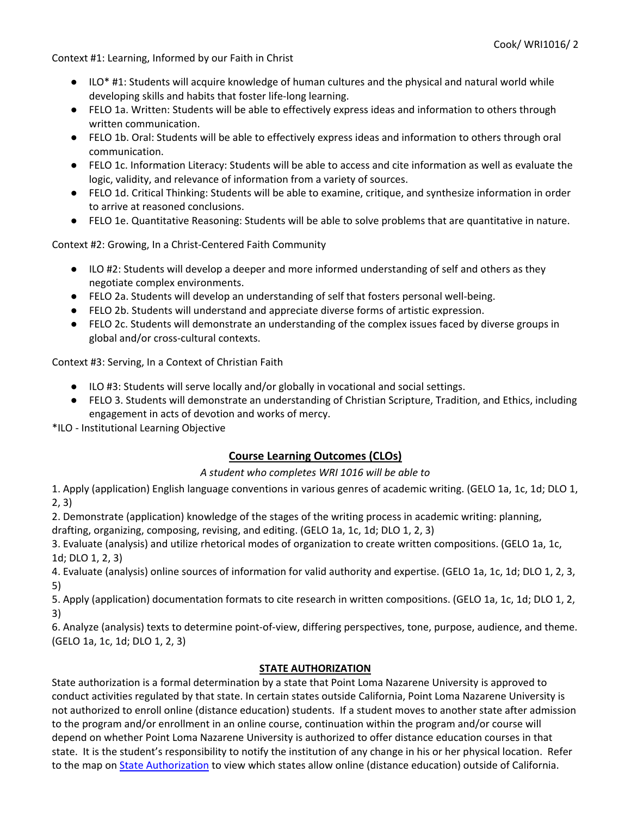Context #1: Learning, Informed by our Faith in Christ

- ILO\* #1: Students will acquire knowledge of human cultures and the physical and natural world while developing skills and habits that foster life-long learning.
- FELO 1a. Written: Students will be able to effectively express ideas and information to others through written communication.
- FELO 1b. Oral: Students will be able to effectively express ideas and information to others through oral communication.
- FELO 1c. Information Literacy: Students will be able to access and cite information as well as evaluate the logic, validity, and relevance of information from a variety of sources.
- FELO 1d. Critical Thinking: Students will be able to examine, critique, and synthesize information in order to arrive at reasoned conclusions.
- FELO 1e. Quantitative Reasoning: Students will be able to solve problems that are quantitative in nature.

Context #2: Growing, In a Christ-Centered Faith Community

- ILO #2: Students will develop a deeper and more informed understanding of self and others as they negotiate complex environments.
- FELO 2a. Students will develop an understanding of self that fosters personal well-being.
- FELO 2b. Students will understand and appreciate diverse forms of artistic expression.
- FELO 2c. Students will demonstrate an understanding of the complex issues faced by diverse groups in global and/or cross-cultural contexts.

Context #3: Serving, In a Context of Christian Faith

- ILO #3: Students will serve locally and/or globally in vocational and social settings.
- FELO 3. Students will demonstrate an understanding of Christian Scripture, Tradition, and Ethics, including engagement in acts of devotion and works of mercy.

\*ILO - Institutional Learning Objective

# **Course Learning Outcomes (CLOs)**

### *A student who completes WRI 1016 will be able to*

1. Apply (application) English language conventions in various genres of academic writing. (GELO 1a, 1c, 1d; DLO 1, 2, 3)

2. Demonstrate (application) knowledge of the stages of the writing process in academic writing: planning, drafting, organizing, composing, revising, and editing. (GELO 1a, 1c, 1d; DLO 1, 2, 3)

3. Evaluate (analysis) and utilize rhetorical modes of organization to create written compositions. (GELO 1a, 1c, 1d; DLO 1, 2, 3)

4. Evaluate (analysis) online sources of information for valid authority and expertise. (GELO 1a, 1c, 1d; DLO 1, 2, 3, 5)

5. Apply (application) documentation formats to cite research in written compositions. (GELO 1a, 1c, 1d; DLO 1, 2, 3)

6. Analyze (analysis) texts to determine point-of-view, differing perspectives, tone, purpose, audience, and theme. (GELO 1a, 1c, 1d; DLO 1, 2, 3)

### **STATE AUTHORIZATION**

State authorization is a formal determination by a state that Point Loma Nazarene University is approved to conduct activities regulated by that state. In certain states outside California, Point Loma Nazarene University is not authorized to enroll online (distance education) students. If a student moves to another state after admission to the program and/or enrollment in an online course, continuation within the program and/or course will depend on whether Point Loma Nazarene University is authorized to offer distance education courses in that state. It is the student's responsibility to notify the institution of any change in his or her physical location. Refer to the map o[n](https://www.pointloma.edu/offices/office-institutional-effectiveness-research/disclosures) [State Authorization](https://www.pointloma.edu/offices/office-institutional-effectiveness-research/disclosures) to view which states allow online (distance education) outside of California.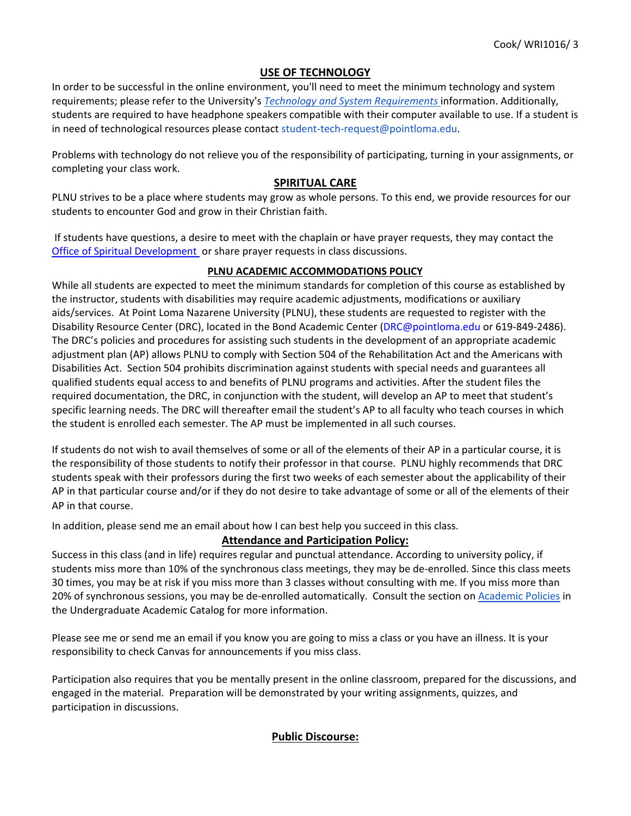# **USE OF TECHNOLOGY**

In order to be successful in the online environment, you'll need to meet the minimum technology and system requirements; please refer to the University's *[Technology and System Requirements](https://help.pointloma.edu/TDClient/1808/Portal/KB/ArticleDet?ID=108349)* information. Additionally, students are required to have headphone speakers compatible with their computer available to use. If a student is in need of technological resources please contact student-tech-request@pointloma.edu.

Problems with technology do not relieve you of the responsibility of participating, turning in your assignments, or completing your class work.

#### **SPIRITUAL CARE**

PLNU strives to be a place where students may grow as whole persons. To this end, we provide resources for our students to encounter God and grow in their Christian faith.

If students have questions, a desire to meet with the chaplain or have prayer requests, they may contact th[e](https://www.pointloma.edu/offices/spiritual-development) [Office of Spiritual Development](https://www.pointloma.edu/offices/spiritual-development) or share prayer requests in class discussions.

### **PLNU ACADEMIC ACCOMMODATIONS POLICY**

While all students are expected to meet the minimum standards for completion of this course as established by the instructor, students with disabilities may require academic adjustments, modifications or auxiliary aids/services. At Point Loma Nazarene University (PLNU), these students are requested to register with the Disability Resource Center (DRC), located in the Bond Academic Center (DRC@pointloma.edu or 619-849-2486). The DRC's policies and procedures for assisting such students in the development of an appropriate academic adjustment plan (AP) allows PLNU to comply with Section 504 of the Rehabilitation Act and the Americans with Disabilities Act. Section 504 prohibits discrimination against students with special needs and guarantees all qualified students equal access to and benefits of PLNU programs and activities. After the student files the required documentation, the DRC, in conjunction with the student, will develop an AP to meet that student's specific learning needs. The DRC will thereafter email the student's AP to all faculty who teach courses in which the student is enrolled each semester. The AP must be implemented in all such courses.

If students do not wish to avail themselves of some or all of the elements of their AP in a particular course, it is the responsibility of those students to notify their professor in that course. PLNU highly recommends that DRC students speak with their professors during the first two weeks of each semester about the applicability of their AP in that particular course and/or if they do not desire to take advantage of some or all of the elements of their AP in that course.

In addition, please send me an email about how I can best help you succeed in this class.

### **Attendance and Participation Policy:**

Success in this class (and in life) requires regular and punctual attendance. According to university policy, if students miss more than 10% of the synchronous class meetings, they may be de-enrolled. Since this class meets 30 times, you may be at risk if you miss more than 3 classes without consulting with me. If you miss more than 20% of synchronous sessions, you may be de-enrolled automatically. Consult the section on [Academic Policies](https://catalog.pointloma.edu/content.php?catoid=46&navoid=2650) in the Undergraduate Academic Catalog for more information.

Please see me or send me an email if you know you are going to miss a class or you have an illness. It is your responsibility to check Canvas for announcements if you miss class.

Participation also requires that you be mentally present in the online classroom, prepared for the discussions, and engaged in the material. Preparation will be demonstrated by your writing assignments, quizzes, and participation in discussions.

### **Public Discourse:**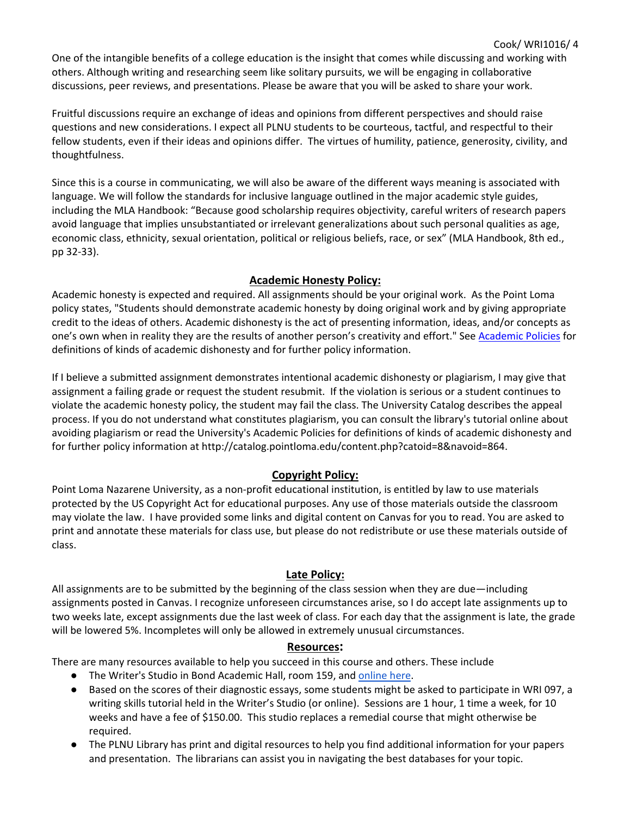One of the intangible benefits of a college education is the insight that comes while discussing and working with others. Although writing and researching seem like solitary pursuits, we will be engaging in collaborative discussions, peer reviews, and presentations. Please be aware that you will be asked to share your work.

Cook/ WRI1016/ 4

Fruitful discussions require an exchange of ideas and opinions from different perspectives and should raise questions and new considerations. I expect all PLNU students to be courteous, tactful, and respectful to their fellow students, even if their ideas and opinions differ. The virtues of humility, patience, generosity, civility, and thoughtfulness.

Since this is a course in communicating, we will also be aware of the different ways meaning is associated with language. We will follow the standards for inclusive language outlined in the major academic style guides, including the MLA Handbook: "Because good scholarship requires objectivity, careful writers of research papers avoid language that implies unsubstantiated or irrelevant generalizations about such personal qualities as age, economic class, ethnicity, sexual orientation, political or religious beliefs, race, or sex" (MLA Handbook, 8th ed., pp 32-33).

# **Academic Honesty Policy:**

Academic honesty is expected and required. All assignments should be your original work. As the Point Loma policy states, "Students should demonstrate academic honesty by doing original work and by giving appropriate credit to the ideas of others. Academic dishonesty is the act of presenting information, ideas, and/or concepts as one's own when in reality they are the results of another person's creativity and effort." See [Academic Policies](https://catalog.pointloma.edu/content.php?catoid=41&navoid=2435#Academic_Honesty) for definitions of kinds of academic dishonesty and for further policy information.

If I believe a submitted assignment demonstrates intentional academic dishonesty or plagiarism, I may give that assignment a failing grade or request the student resubmit. If the violation is serious or a student continues to violate the academic honesty policy, the student may fail the class. The University Catalog describes the appeal process. If you do not understand what constitutes plagiarism, you can consult the library's tutorial online about avoiding plagiarism or read the University's Academic Policies for definitions of kinds of academic dishonesty and for further policy information at http://catalog.pointloma.edu/content.php?catoid=8&navoid=864.

# **Copyright Policy:**

Point Loma Nazarene University, as a non-profit educational institution, is entitled by law to use materials protected by the US Copyright Act for educational purposes. Any use of those materials outside the classroom may violate the law. I have provided some links and digital content on Canvas for you to read. You are asked to print and annotate these materials for class use, but please do not redistribute or use these materials outside of class.

### **Late Policy:**

All assignments are to be submitted by the beginning of the class session when they are due—including assignments posted in Canvas. I recognize unforeseen circumstances arise, so I do accept late assignments up to two weeks late, except assignments due the last week of class. For each day that the assignment is late, the grade will be lowered 5%. Incompletes will only be allowed in extremely unusual circumstances.

### **Resources:**

There are many resources available to help you succeed in this course and others. These include

- The Writer's Studio in Bond Academic Hall, room 159, and [online here.](http://www.pointloma.edu/experience/academics/schools-departments/department-literature-journalism-modern-languages/writers-studio)
- Based on the scores of their diagnostic essays, some students might be asked to participate in WRI 097, a writing skills tutorial held in the Writer's Studio (or online). Sessions are 1 hour, 1 time a week, for 10 weeks and have a fee of \$150.00. This studio replaces a remedial course that might otherwise be required.
- The PLNU Library has print and digital resources to help you find additional information for your papers and presentation. The librarians can assist you in navigating the best databases for your topic.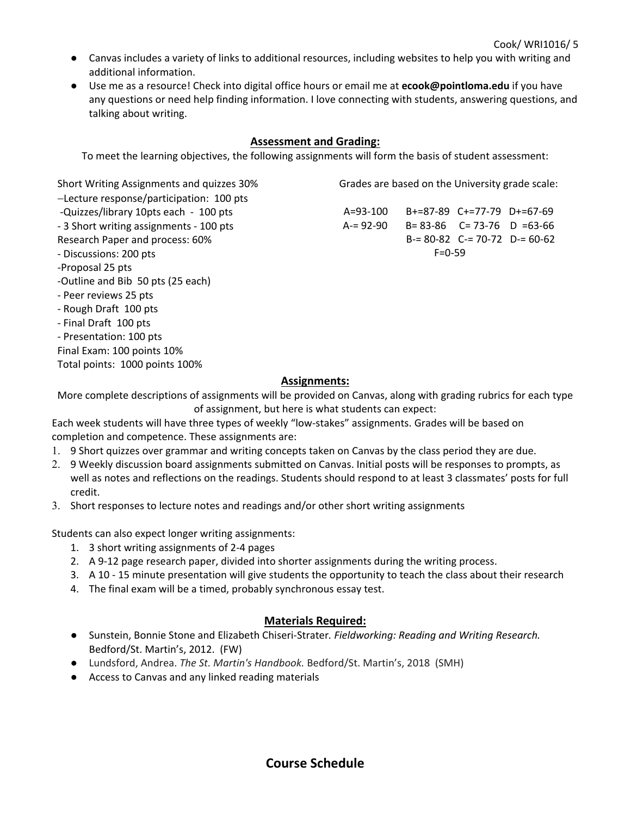- Canvas includes a variety of links to additional resources, including websites to help you with writing and additional information.
- Use me as a resource! Check into digital office hours or email me at **ecook@pointloma.edu** if you have any questions or need help finding information. I love connecting with students, answering questions, and talking about writing.

# **Assessment and Grading:**

To meet the learning objectives, the following assignments will form the basis of student assessment:

Short Writing Assignments and quizzes 30% −Lecture response/participation: 100 pts -Quizzes/library 10pts each - 100 pts - 3 Short writing assignments - 100 pts Research Paper and process: 60% - Discussions: 200 pts -Proposal 25 pts -Outline and Bib 50 pts (25 each) - Peer reviews 25 pts - Rough Draft 100 pts - Final Draft 100 pts - Presentation: 100 pts Final Exam: 100 points 10% Total points: 1000 points 100%

Grades are based on the University grade scale:

A=93-100 B+=87-89 C+=77-79 D+=67-69 A-= 92-90 B= 83-86 C= 73-76 D =63-66 B-= 80-82 C-= 70-72 D-= 60-62  $F = 0 - 59$ 

#### **Assignments:**

More complete descriptions of assignments will be provided on Canvas, along with grading rubrics for each type of assignment, but here is what students can expect:

Each week students will have three types of weekly "low-stakes" assignments. Grades will be based on completion and competence. These assignments are:

- 1. 9 Short quizzes over grammar and writing concepts taken on Canvas by the class period they are due.
- 2. 9 Weekly discussion board assignments submitted on Canvas. Initial posts will be responses to prompts, as well as notes and reflections on the readings. Students should respond to at least 3 classmates' posts for full credit.
- 3. Short responses to lecture notes and readings and/or other short writing assignments

Students can also expect longer writing assignments:

- 1. 3 short writing assignments of 2-4 pages
- 2. A 9-12 page research paper, divided into shorter assignments during the writing process.
- 3. A 10 15 minute presentation will give students the opportunity to teach the class about their research
- 4. The final exam will be a timed, probably synchronous essay test.

#### **Materials Required:**

- Sunstein, Bonnie Stone and Elizabeth Chiseri-Strater*. Fieldworking: Reading and Writing Research.*  Bedford/St. Martin's, 2012. (FW)
- Lundsford, Andrea. *The St. Martin's Handbook.* Bedford/St. Martin's, 2018 (SMH)
- Access to Canvas and any linked reading materials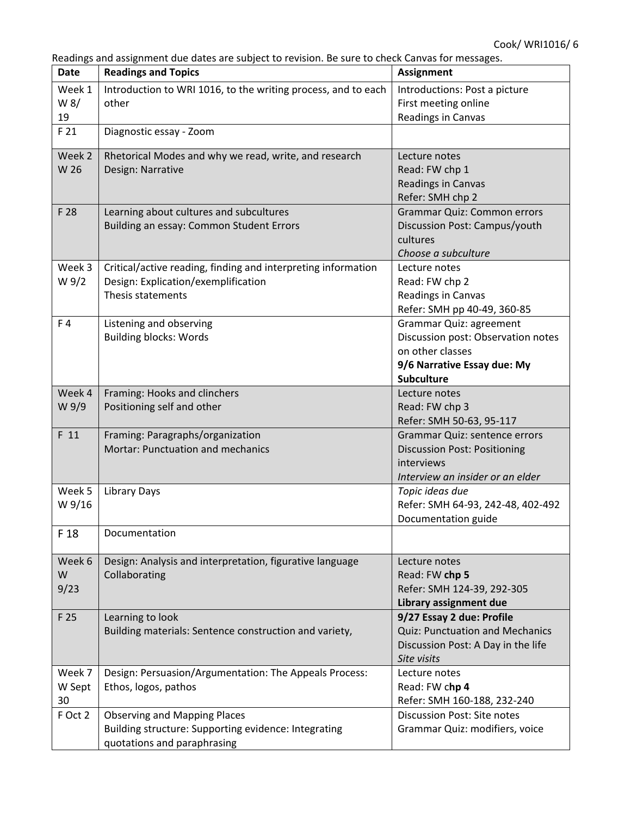Readings and assignment due dates are subject to revision. Be sure to check Canvas for messages.

| Date    | readings and assignment ade dates are sabject to revision. Be sare to check canvas for messages.<br><b>Readings and Topics</b> | Assignment                          |
|---------|--------------------------------------------------------------------------------------------------------------------------------|-------------------------------------|
| Week 1  | Introduction to WRI 1016, to the writing process, and to each                                                                  | Introductions: Post a picture       |
| W 8/    | other                                                                                                                          | First meeting online                |
| 19      |                                                                                                                                | Readings in Canvas                  |
| F 21    | Diagnostic essay - Zoom                                                                                                        |                                     |
| Week 2  | Rhetorical Modes and why we read, write, and research                                                                          | Lecture notes                       |
| W 26    | Design: Narrative                                                                                                              | Read: FW chp 1                      |
|         |                                                                                                                                | Readings in Canvas                  |
|         |                                                                                                                                | Refer: SMH chp 2                    |
| F 28    | Learning about cultures and subcultures                                                                                        | Grammar Quiz: Common errors         |
|         | Building an essay: Common Student Errors                                                                                       | Discussion Post: Campus/youth       |
|         |                                                                                                                                | cultures                            |
|         |                                                                                                                                | Choose a subculture                 |
| Week 3  | Critical/active reading, finding and interpreting information                                                                  | Lecture notes                       |
| W 9/2   | Design: Explication/exemplification                                                                                            | Read: FW chp 2                      |
|         | Thesis statements                                                                                                              | Readings in Canvas                  |
|         |                                                                                                                                | Refer: SMH pp 40-49, 360-85         |
| F4      | Listening and observing                                                                                                        | <b>Grammar Quiz: agreement</b>      |
|         | <b>Building blocks: Words</b>                                                                                                  | Discussion post: Observation notes  |
|         |                                                                                                                                | on other classes                    |
|         |                                                                                                                                | 9/6 Narrative Essay due: My         |
|         |                                                                                                                                | <b>Subculture</b>                   |
| Week 4  | Framing: Hooks and clinchers                                                                                                   | Lecture notes                       |
| W 9/9   | Positioning self and other                                                                                                     | Read: FW chp 3                      |
|         |                                                                                                                                | Refer: SMH 50-63, 95-117            |
| F 11    | Framing: Paragraphs/organization                                                                                               | Grammar Quiz: sentence errors       |
|         | Mortar: Punctuation and mechanics                                                                                              | <b>Discussion Post: Positioning</b> |
|         |                                                                                                                                | interviews                          |
|         |                                                                                                                                | Interview an insider or an elder    |
| Week 5  | <b>Library Days</b>                                                                                                            | Topic ideas due                     |
| W 9/16  |                                                                                                                                | Refer: SMH 64-93, 242-48, 402-492   |
|         |                                                                                                                                | Documentation guide                 |
| F 18    | Documentation                                                                                                                  |                                     |
| Week 6  | Design: Analysis and interpretation, figurative language                                                                       | Lecture notes                       |
| W       | Collaborating                                                                                                                  | Read: FW chp 5                      |
| 9/23    |                                                                                                                                | Refer: SMH 124-39, 292-305          |
|         |                                                                                                                                | Library assignment due              |
| F 25    | Learning to look                                                                                                               | 9/27 Essay 2 due: Profile           |
|         | Building materials: Sentence construction and variety,                                                                         | Quiz: Punctuation and Mechanics     |
|         |                                                                                                                                | Discussion Post: A Day in the life  |
|         |                                                                                                                                | Site visits                         |
| Week 7  | Design: Persuasion/Argumentation: The Appeals Process:                                                                         | Lecture notes                       |
| W Sept  | Ethos, logos, pathos                                                                                                           | Read: FW chp 4                      |
| 30      |                                                                                                                                | Refer: SMH 160-188, 232-240         |
| F Oct 2 | <b>Observing and Mapping Places</b>                                                                                            | <b>Discussion Post: Site notes</b>  |
|         | Building structure: Supporting evidence: Integrating                                                                           | Grammar Quiz: modifiers, voice      |
|         | quotations and paraphrasing                                                                                                    |                                     |